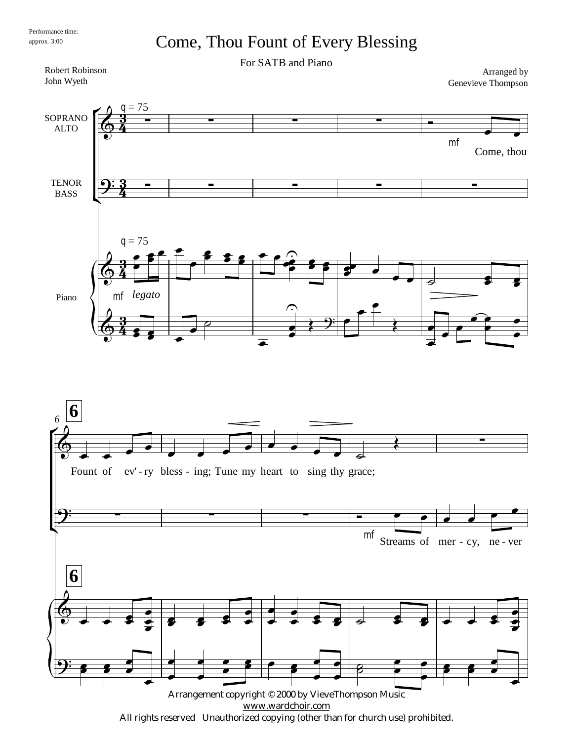## Come, Thou Fount of Every Blessing

For SATB and Piano

<u>។</u><br>ខ្  $\frac{3}{4}$ <u>3</u>  $\frac{3}{4}$ <u>3</u>  $\frac{3}{4}$ <u>3</u>  $\frac{3}{4}$ Robert Robinson John Wyeth 75  $q = 75$ Arranged by Genevieve Thompson SOPRANO ALTO **TENOR** BASS Piano  $\mathsf{r}$ Ľ  $\Phi$  mf Come, thou  $\overline{\phantom{0}}$  $9:3$  - - - - - - - - - - $\Phi$ *legato* mf  $\overline{\phantom{a}}$  $\frac{2}{\rho}$  $\epsilon$  $\overline{P}$  $\overline{\phantom{0}}$  $\frac{2}{3}$  $\overline{\phantom{a}}$  $\widehat{\mathbf{z}}$  $\bullet$  $\Omega$  $358$  $\sim$  $\bullet$   $\bullet$   $\bullet$   $\bullet$  $\overline{\bullet}$  $\overline{\bullet}$  $\overline{\bullet}$  $\Phi$  $\overline{\bullet}$  $\overline{\bullet}$  $\overline{\bullet}$  $\overline{\bullet}$  $\overline{\phantom{a}}$  $\overline{\phantom{a}}$  $\overline{\mathcal{C}}$  $\overline{\phantom{a}}$  $\bullet$  $\overline{\phantom{0}}$  $\bigcap$  $\frac{1}{2}$  $\bullet$  $\overline{\phantom{a}}$  $\bigstar$  $\overline{\phantom{a}}$  $\overline{\bullet}$  $\overline{\bullet}$  $\overline{\phantom{0}}$  $\widehat{\mathbf{P}}$  $\frac{1}{\rho}$  $\overline{\bullet}$  $\overline{\phantom{a}}$ **6 6** *6*  $\check{\mathsf{F}}$ Ľ  $\Phi$ Fount of  $\overline{\phantom{a}}$  $\overline{\phantom{a}}$ ev'-ry bless - ing; Tune my heart to sing thy grace;  $\overline{\phantom{a}}$  $\overline{\phantom{a}}$  $\overline{\phantom{a}}$  $\overline{\phantom{a}}$  $\overline{\bullet}$  $\overline{\phantom{a}}$  $\overline{\phantom{a}}$  $\overrightarrow{z}$  $\left\langle \right\rangle$  $9$  . The contract of the contract of  $\sim$ mf 1 Streams of mer - cy, ne - ver  $\bullet$   $\bullet$   $\bullet$  $\overline{\phantom{a}}$  $\overline{\bullet}$  $\overline{\phantom{a}}$  $\circ$ ...  $\overline{\bullet}$  $\bullet$  $\frac{1}{2}$  $\overline{\bullet}$  $\overline{\bullet}$  $\overline{\mathbf{3}+\mathbf{3}}$  $\frac{1}{2}$  $\frac{1}{2}$  $\overline{\phantom{0}}$  $\overline{\phantom{a}}$  $\frac{1}{\bullet}$  $\frac{1}{\epsilon}$  $\overline{\phantom{0}}$  $\overrightarrow{ }$  $\overline{\bullet}$  $\overline{\bullet}$  $\frac{1}{2}$  $\overline{\bullet}$  $\overline{\bullet}$  $\frac{1}{2}$   $\frac{1}{2}$   $\frac{1}{2}$  $\overline{\bullet}$  $\bullet$  $\frac{1}{2}$  $\overline{\phantom{0}}$  $\mathbf{\hat{y}}$  .  $\overline{\mathbf{z}}$  $\overline{\phantom{a}}$  $\overline{\phantom{a}}$  $\overline{\phantom{a}}$  $\frac{1}{\sqrt{2}}$  $\overline{\phantom{a}}$  $\overline{\phantom{a}}$  $\frac{2}{\rho}$  $\frac{1}{\sqrt{2}}$  $\overline{\phantom{a}}$  $\frac{1}{\sqrt{2}}$  $\overline{\phantom{a}}$  $\frac{1}{2}$   $\frac{2}{2}$  $\overline{\phantom{a}}$  $\frac{2}{\rho}$  $\overline{\bullet}$  $\overline{\bullet}$  $\overline{\mathbf{z}}$  $\overline{\mathbf{z}}$  $\frac{1}{\sqrt{2}}$  $\overline{\phantom{a}}$ 

Arrangement copyright © 2000 by VieveThompson Music [www.wardchoir.com](http://www.wardchoir.com) All rights reserved Unauthorized copying (other than for church use) prohibited.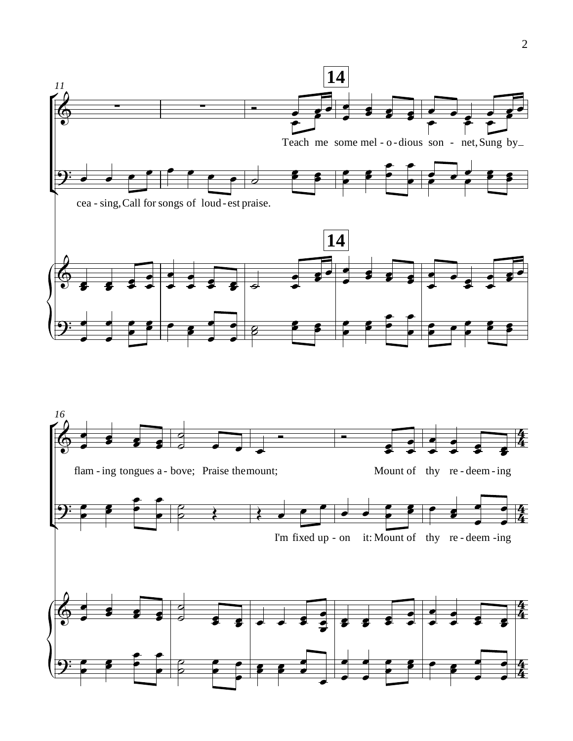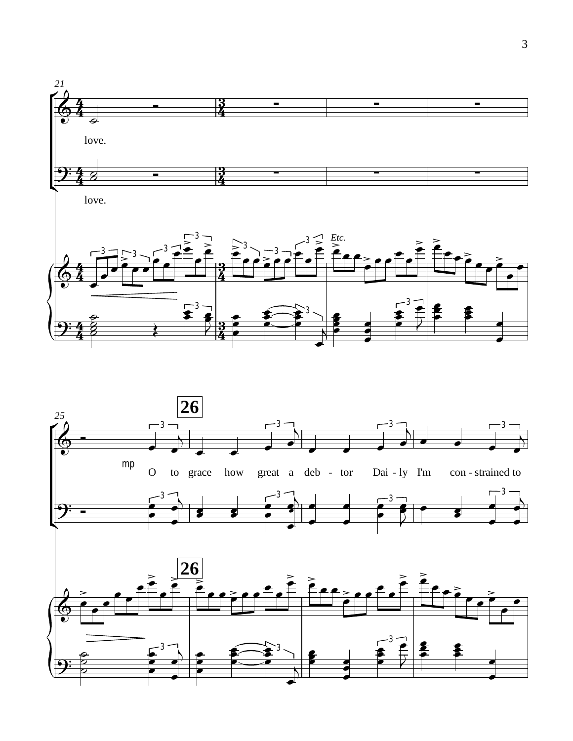

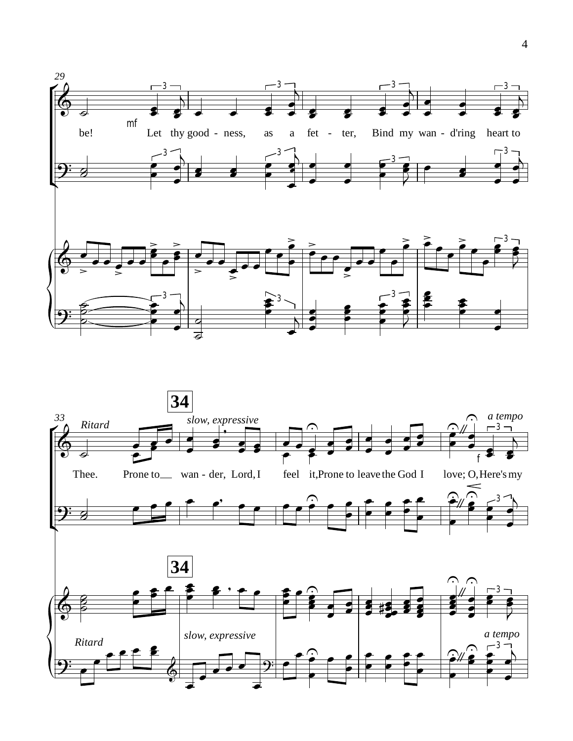

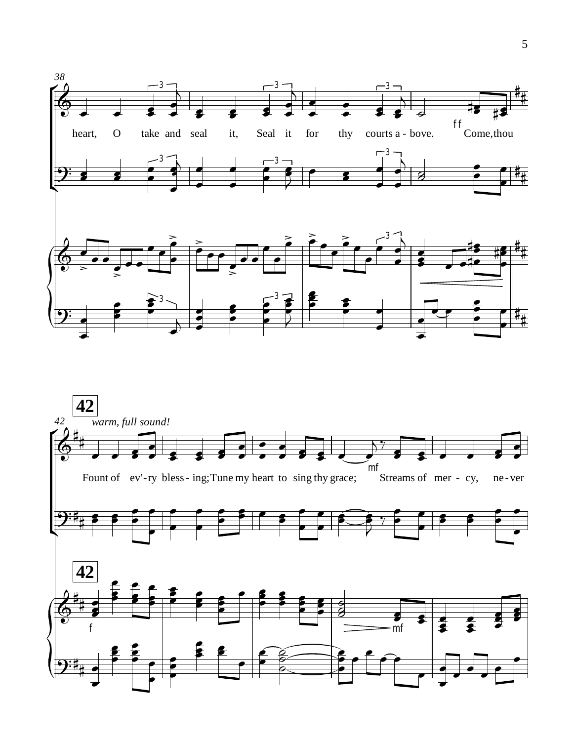

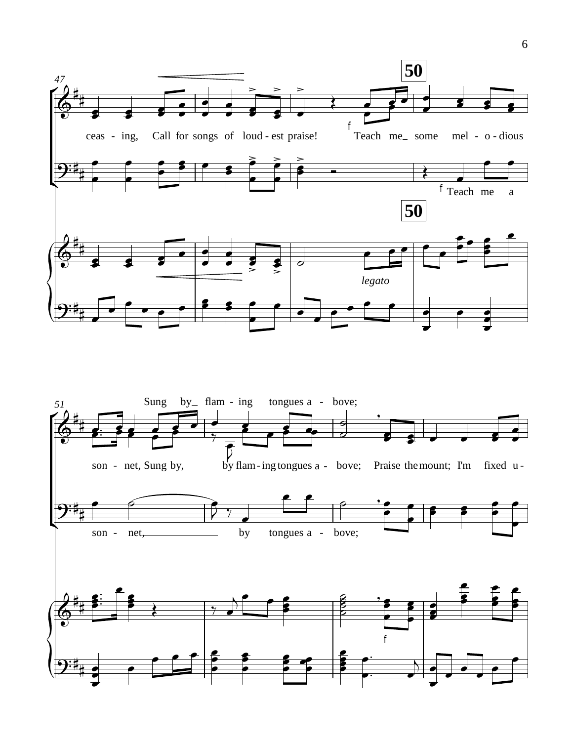